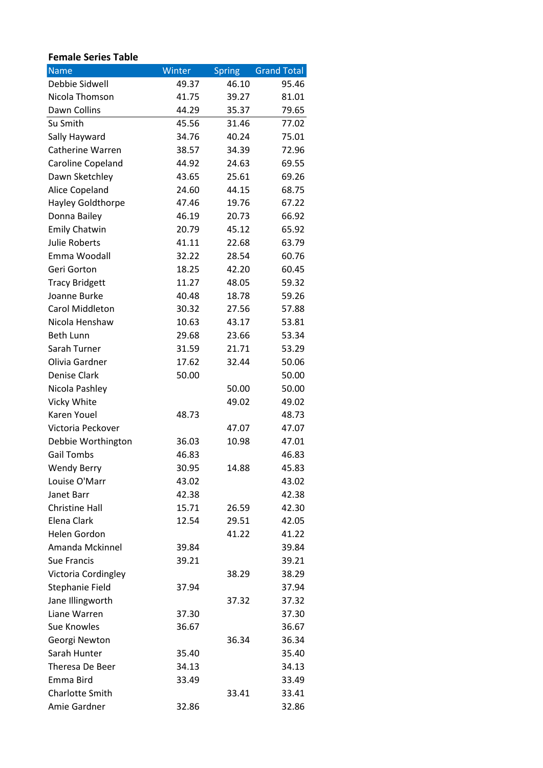## **Female Series Table**

| <b>Name</b>             | Winter | <b>Spring</b> | <b>Grand Total</b> |
|-------------------------|--------|---------------|--------------------|
| Debbie Sidwell          | 49.37  | 46.10         | 95.46              |
| Nicola Thomson          | 41.75  | 39.27         | 81.01              |
| Dawn Collins            | 44.29  | 35.37         | 79.65              |
| Su Smith                | 45.56  | 31.46         | 77.02              |
| Sally Hayward           | 34.76  | 40.24         | 75.01              |
| <b>Catherine Warren</b> | 38.57  | 34.39         | 72.96              |
| Caroline Copeland       | 44.92  | 24.63         | 69.55              |
| Dawn Sketchley          | 43.65  | 25.61         | 69.26              |
| Alice Copeland          | 24.60  | 44.15         | 68.75              |
| Hayley Goldthorpe       | 47.46  | 19.76         | 67.22              |
| Donna Bailey            | 46.19  | 20.73         | 66.92              |
| <b>Emily Chatwin</b>    | 20.79  | 45.12         | 65.92              |
| <b>Julie Roberts</b>    | 41.11  | 22.68         | 63.79              |
| Emma Woodall            | 32.22  | 28.54         | 60.76              |
| Geri Gorton             | 18.25  | 42.20         | 60.45              |
| <b>Tracy Bridgett</b>   | 11.27  | 48.05         | 59.32              |
| Joanne Burke            | 40.48  | 18.78         | 59.26              |
| Carol Middleton         | 30.32  | 27.56         | 57.88              |
| Nicola Henshaw          | 10.63  | 43.17         | 53.81              |
| <b>Beth Lunn</b>        | 29.68  | 23.66         | 53.34              |
| Sarah Turner            | 31.59  | 21.71         | 53.29              |
| Olivia Gardner          | 17.62  | 32.44         | 50.06              |
| Denise Clark            | 50.00  |               | 50.00              |
| Nicola Pashley          |        | 50.00         | 50.00              |
| Vicky White             |        | 49.02         | 49.02              |
| Karen Youel             | 48.73  |               | 48.73              |
| Victoria Peckover       |        | 47.07         | 47.07              |
| Debbie Worthington      | 36.03  | 10.98         | 47.01              |
| <b>Gail Tombs</b>       | 46.83  |               | 46.83              |
| <b>Wendy Berry</b>      | 30.95  | 14.88         | 45.83              |
| Louise O'Marr           | 43.02  |               | 43.02              |
| Janet Barr              | 42.38  |               | 42.38              |
| <b>Christine Hall</b>   | 15.71  | 26.59         | 42.30              |
| Elena Clark             | 12.54  | 29.51         | 42.05              |
| <b>Helen Gordon</b>     |        | 41.22         | 41.22              |
| Amanda Mckinnel         | 39.84  |               | 39.84              |
| Sue Francis             | 39.21  |               | 39.21              |
| Victoria Cordingley     |        | 38.29         | 38.29              |
| Stephanie Field         | 37.94  |               | 37.94              |
| Jane Illingworth        |        | 37.32         | 37.32              |
| Liane Warren            | 37.30  |               | 37.30              |
| Sue Knowles             | 36.67  |               | 36.67              |
| Georgi Newton           |        | 36.34         | 36.34              |
| Sarah Hunter            | 35.40  |               | 35.40              |
| Theresa De Beer         | 34.13  |               | 34.13              |
| Emma Bird               | 33.49  |               | 33.49              |
| Charlotte Smith         |        | 33.41         | 33.41              |
| Amie Gardner            | 32.86  |               | 32.86              |